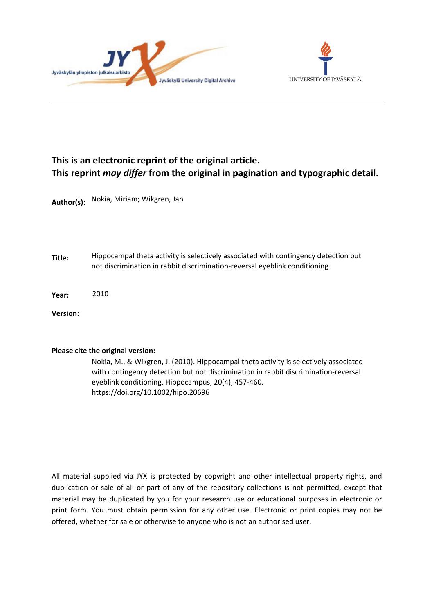



# **This is an electronic reprint of the original article. This reprint** *may differ* **from the original in pagination and typographic detail.**

**Author(s):**  Nokia, Miriam; Wikgren, Jan

**Title:** Hippocampal theta activity is selectively associated with contingency detection but not discrimination in rabbit discrimination-reversal eyeblink conditioning

**Year:**  2010

**Version:**

#### **Please cite the original version:**

Nokia, M., & Wikgren, J. (2010). Hippocampal theta activity is selectively associated with contingency detection but not discrimination in rabbit discrimination-reversal eyeblink conditioning. Hippocampus, 20(4), 457-460. https://doi.org/10.1002/hipo.20696

All material supplied via JYX is protected by copyright and other intellectual property rights, and duplication or sale of all or part of any of the repository collections is not permitted, except that material may be duplicated by you for your research use or educational purposes in electronic or print form. You must obtain permission for any other use. Electronic or print copies may not be offered, whether for sale or otherwise to anyone who is not an authorised user.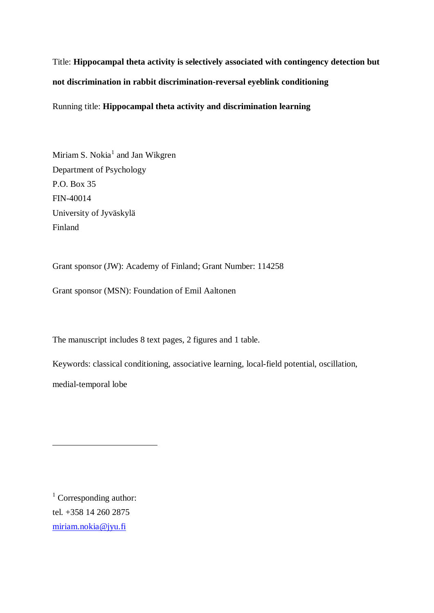Title: **Hippocampal theta activity is selectively associated with contingency detection but not discrimination in rabbit discrimination-reversal eyeblink conditioning** Running title: **Hippocampal theta activity and discrimination learning**

Miriam S. Nokia<sup>1</sup> and Jan Wikgren Department of Psychology P.O. Box 35 FIN-40014 University of Jyväskylä Finland

Grant sponsor (JW): Academy of Finland; Grant Number: 114258

Grant sponsor (MSN): Foundation of Emil Aaltonen

The manuscript includes 8 text pages, 2 figures and 1 table.

Keywords: classical conditioning, associative learning, local-field potential, oscillation, medial-temporal lobe

<sup>1</sup> Corresponding author: tel. +358 14 260 2875 miriam.nokia@jyu.fi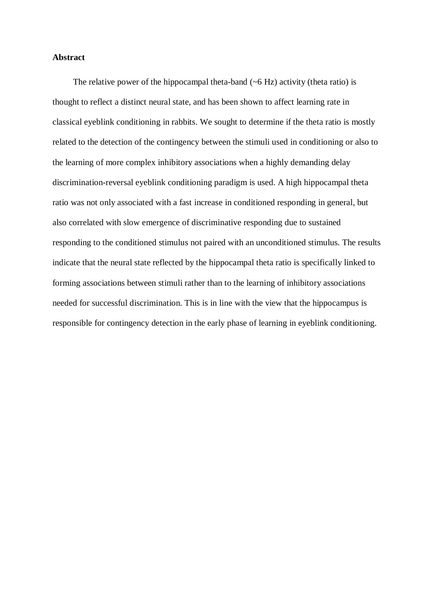### **Abstract**

The relative power of the hippocampal theta-band  $(-6 Hz)$  activity (theta ratio) is thought to reflect a distinct neural state, and has been shown to affect learning rate in classical eyeblink conditioning in rabbits. We sought to determine if the theta ratio is mostly related to the detection of the contingency between the stimuli used in conditioning or also to the learning of more complex inhibitory associations when a highly demanding delay discrimination-reversal eyeblink conditioning paradigm is used. A high hippocampal theta ratio was not only associated with a fast increase in conditioned responding in general, but also correlated with slow emergence of discriminative responding due to sustained responding to the conditioned stimulus not paired with an unconditioned stimulus. The results indicate that the neural state reflected by the hippocampal theta ratio is specifically linked to forming associations between stimuli rather than to the learning of inhibitory associations needed for successful discrimination. This is in line with the view that the hippocampus is responsible for contingency detection in the early phase of learning in eyeblink conditioning.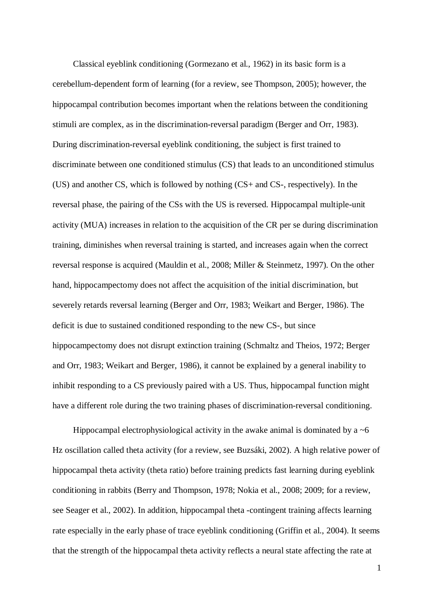Classical eyeblink conditioning (Gormezano et al., 1962) in its basic form is a cerebellum-dependent form of learning (for a review, see Thompson, 2005); however, the hippocampal contribution becomes important when the relations between the conditioning stimuli are complex, as in the discrimination-reversal paradigm (Berger and Orr, 1983). During discrimination-reversal eyeblink conditioning, the subject is first trained to discriminate between one conditioned stimulus (CS) that leads to an unconditioned stimulus (US) and another CS, which is followed by nothing (CS+ and CS-, respectively). In the reversal phase, the pairing of the CSs with the US is reversed. Hippocampal multiple-unit activity (MUA) increases in relation to the acquisition of the CR per se during discrimination training, diminishes when reversal training is started, and increases again when the correct reversal response is acquired (Mauldin et al., 2008; Miller & Steinmetz, 1997). On the other hand, hippocampectomy does not affect the acquisition of the initial discrimination, but severely retards reversal learning (Berger and Orr, 1983; Weikart and Berger, 1986). The deficit is due to sustained conditioned responding to the new CS-, but since hippocampectomy does not disrupt extinction training (Schmaltz and Theios, 1972; Berger and Orr, 1983; Weikart and Berger, 1986), it cannot be explained by a general inability to inhibit responding to a CS previously paired with a US. Thus, hippocampal function might have a different role during the two training phases of discrimination-reversal conditioning.

Hippocampal electrophysiological activity in the awake animal is dominated by a  $\sim$  6 Hz oscillation called theta activity (for a review, see Buzsáki, 2002). A high relative power of hippocampal theta activity (theta ratio) before training predicts fast learning during eyeblink conditioning in rabbits (Berry and Thompson, 1978; Nokia et al., 2008; 2009; for a review, see Seager et al., 2002). In addition, hippocampal theta -contingent training affects learning rate especially in the early phase of trace eyeblink conditioning (Griffin et al., 2004). It seems that the strength of the hippocampal theta activity reflects a neural state affecting the rate at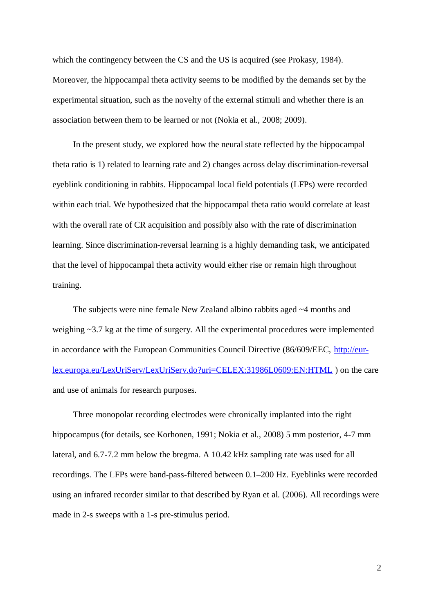which the contingency between the CS and the US is acquired (see Prokasy, 1984). Moreover, the hippocampal theta activity seems to be modified by the demands set by the experimental situation, such as the novelty of the external stimuli and whether there is an association between them to be learned or not (Nokia et al., 2008; 2009).

In the present study, we explored how the neural state reflected by the hippocampal theta ratio is 1) related to learning rate and 2) changes across delay discrimination-reversal eyeblink conditioning in rabbits. Hippocampal local field potentials (LFPs) were recorded within each trial. We hypothesized that the hippocampal theta ratio would correlate at least with the overall rate of CR acquisition and possibly also with the rate of discrimination learning. Since discrimination-reversal learning is a highly demanding task, we anticipated that the level of hippocampal theta activity would either rise or remain high throughout training.

The subjects were nine female New Zealand albino rabbits aged ~4 months and weighing ~3.7 kg at the time of surgery. All the experimental procedures were implemented in accordance with the European Communities Council Directive (86/609/EEC, http://eurlex.europa.eu/LexUriServ/LexUriServ.do?uri=CELEX:31986L0609:EN:HTML ) on the care and use of animals for research purposes.

Three monopolar recording electrodes were chronically implanted into the right hippocampus (for details, see Korhonen, 1991; Nokia et al., 2008) 5 mm posterior, 4-7 mm lateral, and 6.7-7.2 mm below the bregma. A 10.42 kHz sampling rate was used for all recordings. The LFPs were band-pass-filtered between 0.1–200 Hz. Eyeblinks were recorded using an infrared recorder similar to that described by Ryan et al. (2006). All recordings were made in 2-s sweeps with a 1-s pre-stimulus period.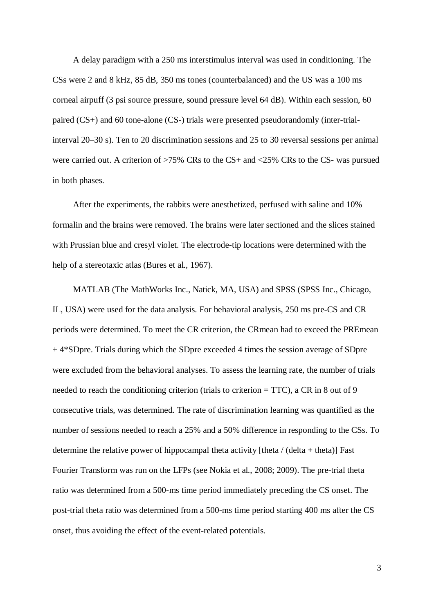A delay paradigm with a 250 ms interstimulus interval was used in conditioning. The CSs were 2 and 8 kHz, 85 dB, 350 ms tones (counterbalanced) and the US was a 100 ms corneal airpuff (3 psi source pressure, sound pressure level 64 dB). Within each session, 60 paired (CS+) and 60 tone-alone (CS-) trials were presented pseudorandomly (inter-trialinterval 20–30 s). Ten to 20 discrimination sessions and 25 to 30 reversal sessions per animal were carried out. A criterion of >75% CRs to the CS+ and <25% CRs to the CS- was pursued in both phases.

After the experiments, the rabbits were anesthetized, perfused with saline and 10% formalin and the brains were removed. The brains were later sectioned and the slices stained with Prussian blue and cresyl violet. The electrode-tip locations were determined with the help of a stereotaxic atlas (Bures et al., 1967).

MATLAB (The MathWorks Inc., Natick, MA, USA) and SPSS (SPSS Inc., Chicago, IL, USA) were used for the data analysis. For behavioral analysis, 250 ms pre-CS and CR periods were determined. To meet the CR criterion, the CRmean had to exceed the PREmean + 4\*SDpre. Trials during which the SDpre exceeded 4 times the session average of SDpre were excluded from the behavioral analyses. To assess the learning rate, the number of trials needed to reach the conditioning criterion (trials to criterion = TTC), a CR in 8 out of 9 consecutive trials, was determined. The rate of discrimination learning was quantified as the number of sessions needed to reach a 25% and a 50% difference in responding to the CSs. To determine the relative power of hippocampal theta activity [theta / (delta + theta)] Fast Fourier Transform was run on the LFPs (see Nokia et al., 2008; 2009). The pre-trial theta ratio was determined from a 500-ms time period immediately preceding the CS onset. The post-trial theta ratio was determined from a 500-ms time period starting 400 ms after the CS onset, thus avoiding the effect of the event-related potentials.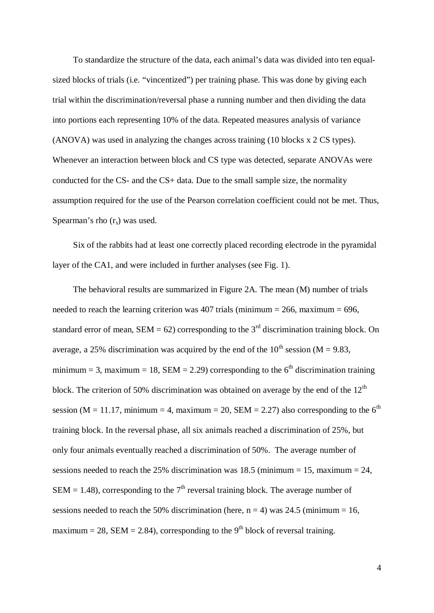To standardize the structure of the data, each animal's data was divided into ten equalsized blocks of trials (i.e. "vincentized") per training phase. This was done by giving each trial within the discrimination/reversal phase a running number and then dividing the data into portions each representing 10% of the data. Repeated measures analysis of variance (ANOVA) was used in analyzing the changes across training (10 blocks x 2 CS types). Whenever an interaction between block and CS type was detected, separate ANOVAs were conducted for the CS- and the CS+ data. Due to the small sample size, the normality assumption required for the use of the Pearson correlation coefficient could not be met. Thus, Spearman's rho  $(r_s)$  was used.

Six of the rabbits had at least one correctly placed recording electrode in the pyramidal layer of the CA1, and were included in further analyses (see Fig. 1).

The behavioral results are summarized in Figure 2A. The mean (M) number of trials needed to reach the learning criterion was 407 trials (minimum  $= 266$ , maximum  $= 696$ , standard error of mean, SEM = 62) corresponding to the  $3<sup>rd</sup>$  discrimination training block. On average, a 25% discrimination was acquired by the end of the  $10^{th}$  session (M = 9.83, minimum = 3, maximum = 18, SEM = 2.29) corresponding to the  $6<sup>th</sup>$  discrimination training block. The criterion of 50% discrimination was obtained on average by the end of the  $12<sup>th</sup>$ session (M = 11.17, minimum = 4, maximum = 20, SEM = 2.27) also corresponding to the  $6<sup>th</sup>$ training block. In the reversal phase, all six animals reached a discrimination of 25%, but only four animals eventually reached a discrimination of 50%. The average number of sessions needed to reach the 25% discrimination was 18.5 (minimum = 15, maximum = 24, SEM = 1.48), corresponding to the  $7<sup>th</sup>$  reversal training block. The average number of sessions needed to reach the 50% discrimination (here,  $n = 4$ ) was 24.5 (minimum = 16, maximum = 28, SEM = 2.84), corresponding to the 9<sup>th</sup> block of reversal training.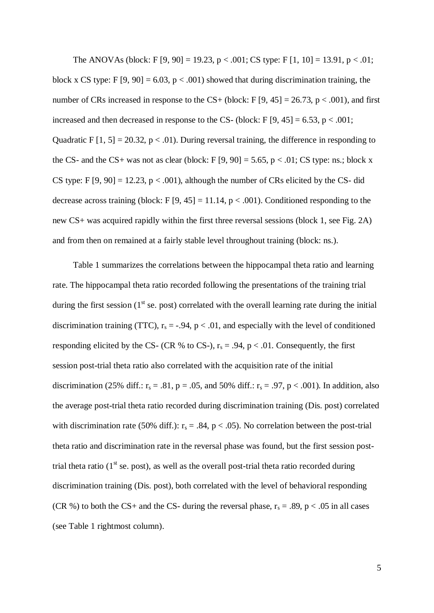The ANOVAs (block: F [9, 90] = 19.23, p < .001; CS type: F [1, 10] = 13.91, p < .01; block x CS type: F [9, 90] = 6.03, p < .001) showed that during discrimination training, the number of CRs increased in response to the CS+ (block:  $F[9, 45] = 26.73$ ,  $p < .001$ ), and first increased and then decreased in response to the CS- (block:  $F [9, 45] = 6.53$ ,  $p < .001$ ; Quadratic F  $[1, 5] = 20.32$ ,  $p < .01$ ). During reversal training, the difference in responding to the CS- and the CS+ was not as clear (block: F [9, 90] = 5.65,  $p < .01$ ; CS type: ns.; block x CS type: F  $[9, 90] = 12.23$ ,  $p < .001$ ), although the number of CRs elicited by the CS- did decrease across training (block:  $F[9, 45] = 11.14$ ,  $p < .001$ ). Conditioned responding to the new CS+ was acquired rapidly within the first three reversal sessions (block 1, see Fig. 2A) and from then on remained at a fairly stable level throughout training (block: ns.).

Table 1 summarizes the correlations between the hippocampal theta ratio and learning rate. The hippocampal theta ratio recorded following the presentations of the training trial during the first session  $(1<sup>st</sup>$  se. post) correlated with the overall learning rate during the initial discrimination training (TTC),  $r_s = -.94$ ,  $p < .01$ , and especially with the level of conditioned responding elicited by the CS- (CR % to CS-),  $r_s = .94$ ,  $p < .01$ . Consequently, the first session post-trial theta ratio also correlated with the acquisition rate of the initial discrimination (25% diff.:  $r_s = .81$ ,  $p = .05$ , and 50% diff.:  $r_s = .97$ ,  $p < .001$ ). In addition, also the average post-trial theta ratio recorded during discrimination training (Dis. post) correlated with discrimination rate (50% diff.):  $r_s = .84$ ,  $p < .05$ ). No correlation between the post-trial theta ratio and discrimination rate in the reversal phase was found, but the first session posttrial theta ratio  $(1<sup>st</sup>$  se. post), as well as the overall post-trial theta ratio recorded during discrimination training (Dis. post), both correlated with the level of behavioral responding (CR %) to both the CS+ and the CS- during the reversal phase,  $r_s = .89$ ,  $p < .05$  in all cases (see Table 1 rightmost column).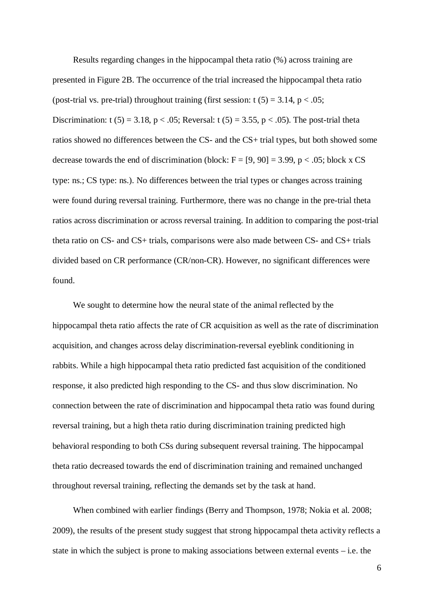Results regarding changes in the hippocampal theta ratio (%) across training are presented in Figure 2B. The occurrence of the trial increased the hippocampal theta ratio (post-trial vs. pre-trial) throughout training (first session:  $t(5) = 3.14$ ,  $p < .05$ ; Discrimination:  $t(5) = 3.18$ ,  $p < .05$ ; Reversal:  $t(5) = 3.55$ ,  $p < .05$ ). The post-trial theta ratios showed no differences between the CS- and the CS+ trial types, but both showed some decrease towards the end of discrimination (block:  $F = [9, 90] = 3.99$ ,  $p < .05$ ; block x CS type: ns.; CS type: ns.). No differences between the trial types or changes across training were found during reversal training. Furthermore, there was no change in the pre-trial theta ratios across discrimination or across reversal training. In addition to comparing the post-trial theta ratio on CS- and CS+ trials, comparisons were also made between CS- and CS+ trials divided based on CR performance (CR/non-CR). However, no significant differences were found.

We sought to determine how the neural state of the animal reflected by the hippocampal theta ratio affects the rate of CR acquisition as well as the rate of discrimination acquisition, and changes across delay discrimination-reversal eyeblink conditioning in rabbits. While a high hippocampal theta ratio predicted fast acquisition of the conditioned response, it also predicted high responding to the CS- and thus slow discrimination. No connection between the rate of discrimination and hippocampal theta ratio was found during reversal training, but a high theta ratio during discrimination training predicted high behavioral responding to both CSs during subsequent reversal training. The hippocampal theta ratio decreased towards the end of discrimination training and remained unchanged throughout reversal training, reflecting the demands set by the task at hand.

When combined with earlier findings (Berry and Thompson, 1978; Nokia et al. 2008; 2009), the results of the present study suggest that strong hippocampal theta activity reflects a state in which the subject is prone to making associations between external events – i.e. the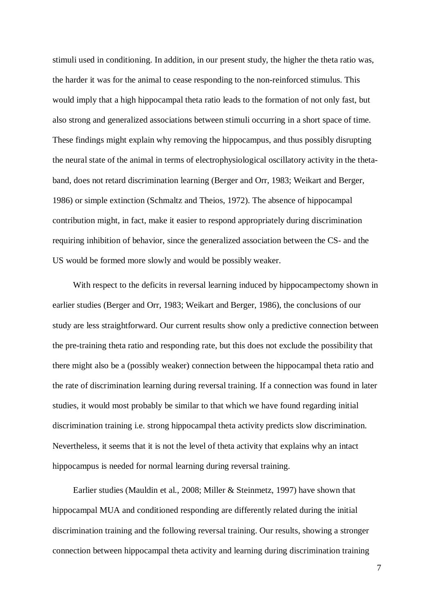stimuli used in conditioning. In addition, in our present study, the higher the theta ratio was, the harder it was for the animal to cease responding to the non-reinforced stimulus. This would imply that a high hippocampal theta ratio leads to the formation of not only fast, but also strong and generalized associations between stimuli occurring in a short space of time. These findings might explain why removing the hippocampus, and thus possibly disrupting the neural state of the animal in terms of electrophysiological oscillatory activity in the thetaband, does not retard discrimination learning (Berger and Orr, 1983; Weikart and Berger, 1986) or simple extinction (Schmaltz and Theios, 1972). The absence of hippocampal contribution might, in fact, make it easier to respond appropriately during discrimination requiring inhibition of behavior, since the generalized association between the CS- and the US would be formed more slowly and would be possibly weaker.

With respect to the deficits in reversal learning induced by hippocampectomy shown in earlier studies (Berger and Orr, 1983; Weikart and Berger, 1986), the conclusions of our study are less straightforward. Our current results show only a predictive connection between the pre-training theta ratio and responding rate, but this does not exclude the possibility that there might also be a (possibly weaker) connection between the hippocampal theta ratio and the rate of discrimination learning during reversal training. If a connection was found in later studies, it would most probably be similar to that which we have found regarding initial discrimination training i.e. strong hippocampal theta activity predicts slow discrimination. Nevertheless, it seems that it is not the level of theta activity that explains why an intact hippocampus is needed for normal learning during reversal training.

Earlier studies (Mauldin et al., 2008; Miller & Steinmetz, 1997) have shown that hippocampal MUA and conditioned responding are differently related during the initial discrimination training and the following reversal training. Our results, showing a stronger connection between hippocampal theta activity and learning during discrimination training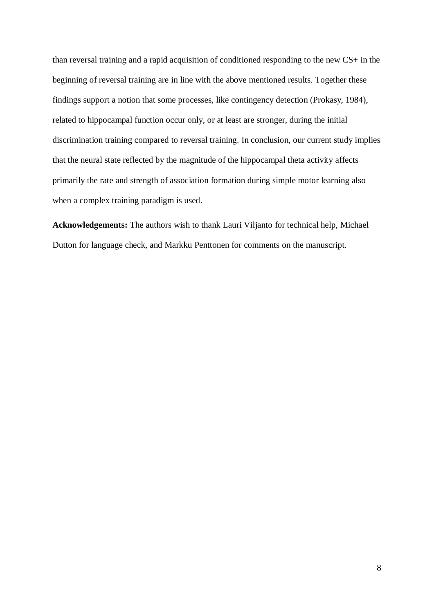than reversal training and a rapid acquisition of conditioned responding to the new CS+ in the beginning of reversal training are in line with the above mentioned results. Together these findings support a notion that some processes, like contingency detection (Prokasy, 1984), related to hippocampal function occur only, or at least are stronger, during the initial discrimination training compared to reversal training. In conclusion, our current study implies that the neural state reflected by the magnitude of the hippocampal theta activity affects primarily the rate and strength of association formation during simple motor learning also when a complex training paradigm is used.

**Acknowledgements:** The authors wish to thank Lauri Viljanto for technical help, Michael Dutton for language check, and Markku Penttonen for comments on the manuscript.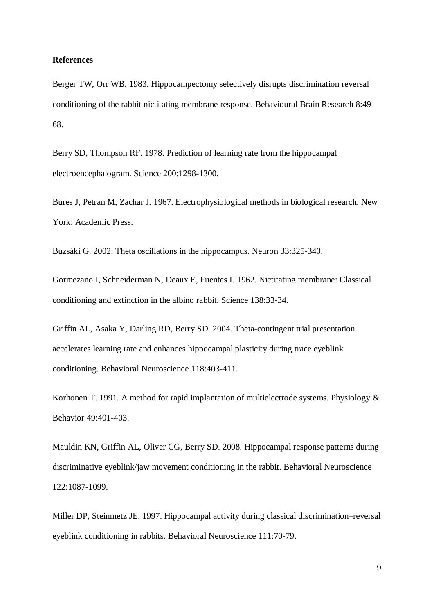## **References**

Berger TW, Orr WB. 1983. Hippocampectomy selectively disrupts discrimination reversal conditioning of the rabbit nictitating membrane response. Behavioural Brain Research 8:49- 68.

Berry SD, Thompson RF. 1978. Prediction of learning rate from the hippocampal electroencephalogram. Science 200:1298-1300.

Bures J, Petran M, Zachar J. 1967. Electrophysiological methods in biological research. New York: Academic Press.

Buzsáki G. 2002. Theta oscillations in the hippocampus. Neuron 33:325-340.

Gormezano I, Schneiderman N, Deaux E, Fuentes I. 1962. Nictitating membrane: Classical conditioning and extinction in the albino rabbit. Science 138:33-34.

Griffin AL, Asaka Y, Darling RD, Berry SD. 2004. Theta-contingent trial presentation accelerates learning rate and enhances hippocampal plasticity during trace eyeblink conditioning. Behavioral Neuroscience 118:403-411.

Korhonen T. 1991. A method for rapid implantation of multielectrode systems. Physiology & Behavior 49:401-403.

Mauldin KN, Griffin AL, Oliver CG, Berry SD. 2008. Hippocampal response patterns during discriminative eyeblink/jaw movement conditioning in the rabbit. Behavioral Neuroscience 122:1087-1099.

Miller DP, Steinmetz JE. 1997. Hippocampal activity during classical discrimination–reversal eyeblink conditioning in rabbits. Behavioral Neuroscience 111:70-79.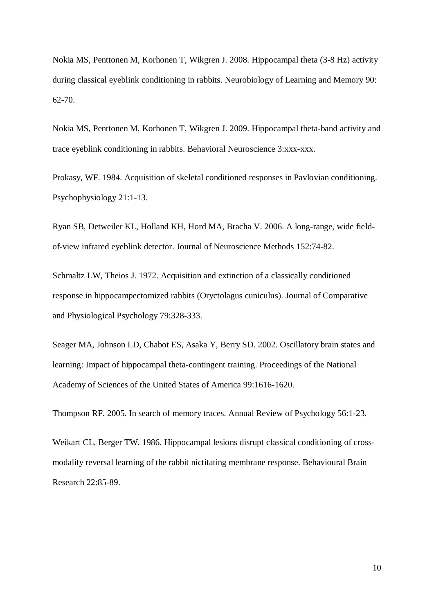Nokia MS, Penttonen M, Korhonen T, Wikgren J. 2008. Hippocampal theta (3-8 Hz) activity during classical eyeblink conditioning in rabbits. Neurobiology of Learning and Memory 90: 62-70.

Nokia MS, Penttonen M, Korhonen T, Wikgren J. 2009. Hippocampal theta-band activity and trace eyeblink conditioning in rabbits. Behavioral Neuroscience 3:xxx-xxx.

Prokasy, WF. 1984. Acquisition of skeletal conditioned responses in Pavlovian conditioning. Psychophysiology 21:1-13.

Ryan SB, Detweiler KL, Holland KH, Hord MA, Bracha V. 2006. A long-range, wide fieldof-view infrared eyeblink detector. Journal of Neuroscience Methods 152:74-82.

Schmaltz LW, Theios J. 1972. Acquisition and extinction of a classically conditioned response in hippocampectomized rabbits (Oryctolagus cuniculus). Journal of Comparative and Physiological Psychology 79:328-333.

Seager MA, Johnson LD, Chabot ES, Asaka Y, Berry SD. 2002. Oscillatory brain states and learning: Impact of hippocampal theta-contingent training. Proceedings of the National Academy of Sciences of the United States of America 99:1616-1620.

Thompson RF. 2005. In search of memory traces. Annual Review of Psychology 56:1-23.

Weikart CL, Berger TW. 1986. Hippocampal lesions disrupt classical conditioning of crossmodality reversal learning of the rabbit nictitating membrane response. Behavioural Brain Research 22:85-89.